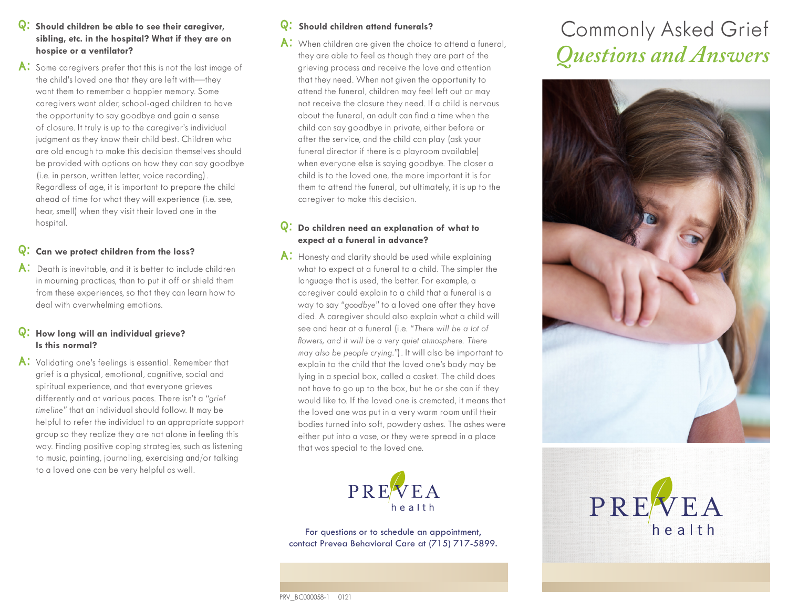- Q: **Should children be able to see their caregiver, sibling, etc. in the hospital? What if they are on hospice or a ventilator?**
- A: Some caregivers prefer that this is not the last image of the child's loved one that they are left with—they want them to remember a happier memory. Some caregivers want older, school-aged children to have the opportunity to say goodbye and gain a sense of closure. It truly is up to the caregiver's individual judgment as they know their child best. Children who are old enough to make this decision themselves should be provided with options on how they can say goodbye (i.e. in person, written letter, voice recording). Regardless of age, it is important to prepare the child ahead of time for what they will experience (i.e. see, hear, smell) when they visit their loved one in the hospital.

# Q: **Can we protect children from the loss?**

A: Death is inevitable, and it is better to include children in mourning practices, than to put it off or shield them from these experiences, so that they can learn how to deal with overwhelming emotions.

## Q: **How long will an individual grieve? Is this normal?**

A: Validating one's feelings is essential. Remember that grief is a physical, emotional, cognitive, social and spiritual experience, and that everyone grieves differently and at various paces. There isn't a *"grief timeline"* that an individual should follow. It may be helpful to refer the individual to an appropriate support group so they realize they are not alone in feeling this way. Finding positive coping strategies, such as listening to music, painting, journaling, exercising and/or talking to a loved one can be very helpful as well.

# Q: **Should children attend funerals?**

A: When children are given the choice to attend a funeral, they are able to feel as though they are part of the grieving process and receive the love and attention that they need. When not given the opportunity to attend the funeral, children may feel left out or may not receive the closure they need. If a child is nervous about the funeral, an adult can find a time when the child can say goodbye in private, either before or after the service, and the child can play (ask your funeral director if there is a playroom available) when everyone else is saying goodbye. The closer a child is to the loved one, the more important it is for them to attend the funeral, but ultimately, it is up to the caregiver to make this decision.

#### Q: **Do children need an explanation of what to expect at a funeral in advance?**

A: Honesty and clarity should be used while explaining what to expect at a funeral to a child. The simpler the language that is used, the better. For example, a caregiver could explain to a child that a funeral is a way to say *"goodbye"* to a loved one after they have died. A caregiver should also explain what a child will see and hear at a funeral (i.e. *"There will be a lot of flowers, and it will be a very quiet atmosphere. There may also be people crying."*). It will also be important to explain to the child that the loved one's body may be lying in a special box, called a casket. The child does not have to go up to the box, but he or she can if they would like to. If the loved one is cremated, it means that the loved one was put in a very warm room until their bodies turned into soft, powdery ashes. The ashes were either put into a vase, or they were spread in a place that was special to the loved one.



For questions or to schedule an appointment, contact Prevea Behavioral Care at (715) 717-5899.

# Commonly Asked Grief *Questions and Answers*





PRV\_BC000058-1 0121